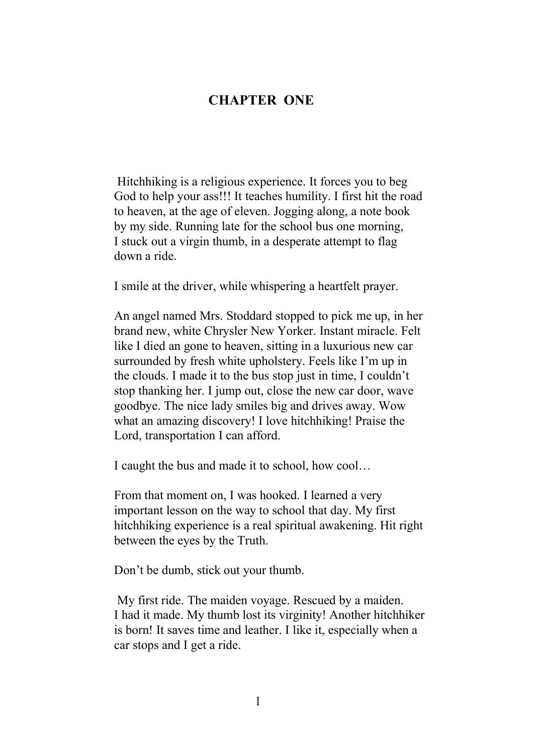## **CHAPTER ONE**

 Hitchhiking is a religious experience. It forces you to beg God to help your ass!!! It teaches humility. I first hit the road to heaven, at the age of eleven. Jogging along, a note book by my side. Running late for the school bus one morning, I stuck out a virgin thumb, in a desperate attempt to flag down a ride.

I smile at the driver, while whispering a heartfelt prayer.

An angel named Mrs. Stoddard stopped to pick me up, in her brand new, white Chrysler New Yorker. Instant miracle. Felt like I died an gone to heaven, sitting in a luxurious new car surrounded by fresh white upholstery. Feels like I'm up in the clouds. I made it to the bus stop just in time, I couldn't stop thanking her. I jump out, close the new car door, wave goodbye. The nice lady smiles big and drives away. Wow what an amazing discovery! I love hitchhiking! Praise the Lord, transportation I can afford.

I caught the bus and made it to school, how cool…

From that moment on, I was hooked. I learned a very important lesson on the way to school that day. My first hitchhiking experience is a real spiritual awakening. Hit right between the eyes by the Truth.

Don't be dumb, stick out your thumb.

 My first ride. The maiden voyage. Rescued by a maiden. I had it made. My thumb lost its virginity! Another hitchhiker is born! It saves time and leather. I like it, especially when a car stops and I get a ride.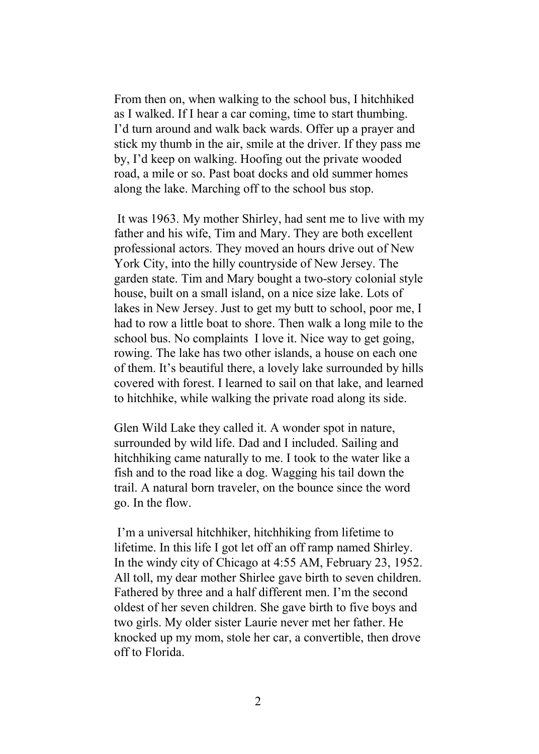From then on, when walking to the school bus, I hitchhiked as I walked. If I hear a car coming, time to start thumbing. I'd turn around and walk back wards. Offer up a prayer and stick my thumb in the air, smile at the driver. If they pass me by, I'd keep on walking. Hoofing out the private wooded road, a mile or so. Past boat docks and old summer homes along the lake. Marching off to the school bus stop.

 It was 1963. My mother Shirley, had sent me to live with my father and his wife, Tim and Mary. They are both excellent professional actors. They moved an hours drive out of New York City, into the hilly countryside of New Jersey. The garden state. Tim and Mary bought a two-story colonial style house, built on a small island, on a nice size lake. Lots of lakes in New Jersey. Just to get my butt to school, poor me, I had to row a little boat to shore. Then walk a long mile to the school bus. No complaints I love it. Nice way to get going, rowing. The lake has two other islands, a house on each one of them. It's beautiful there, a lovely lake surrounded by hills covered with forest. I learned to sail on that lake, and learned to hitchhike, while walking the private road along its side.

Glen Wild Lake they called it. A wonder spot in nature, surrounded by wild life. Dad and I included. Sailing and hitchhiking came naturally to me. I took to the water like a fish and to the road like a dog. Wagging his tail down the trail. A natural born traveler, on the bounce since the word go. In the flow.

 I'm a universal hitchhiker, hitchhiking from lifetime to lifetime. In this life I got let off an off ramp named Shirley. In the windy city of Chicago at 4:55 AM, February 23, 1952. All toll, my dear mother Shirlee gave birth to seven children. Fathered by three and a half different men. I'm the second oldest of her seven children. She gave birth to five boys and two girls. My older sister Laurie never met her father. He knocked up my mom, stole her car, a convertible, then drove off to Florida.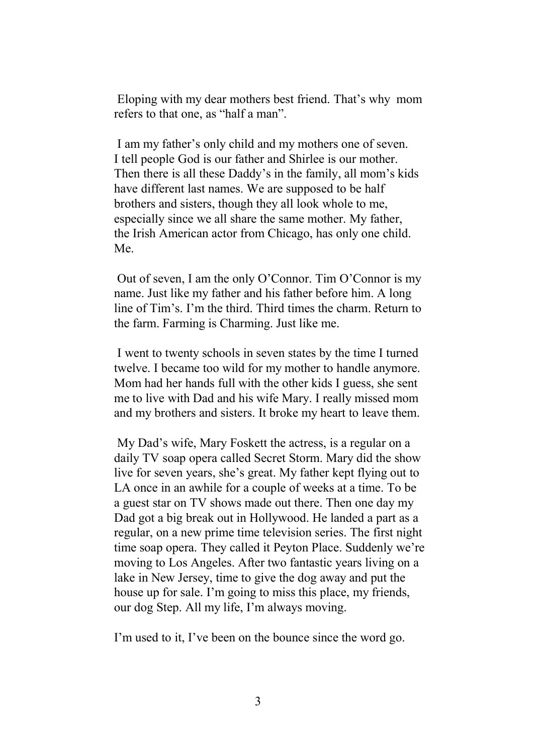Eloping with my dear mothers best friend. That's why mom refers to that one, as "half a man".

 I am my father's only child and my mothers one of seven. I tell people God is our father and Shirlee is our mother. Then there is all these Daddy's in the family, all mom's kids have different last names. We are supposed to be half brothers and sisters, though they all look whole to me, especially since we all share the same mother. My father, the Irish American actor from Chicago, has only one child. Me.

 Out of seven, I am the only O'Connor. Tim O'Connor is my name. Just like my father and his father before him. A long line of Tim's. I'm the third. Third times the charm. Return to the farm. Farming is Charming. Just like me.

 I went to twenty schools in seven states by the time I turned twelve. I became too wild for my mother to handle anymore. Mom had her hands full with the other kids I guess, she sent me to live with Dad and his wife Mary. I really missed mom and my brothers and sisters. It broke my heart to leave them.

 My Dad's wife, Mary Foskett the actress, is a regular on a daily TV soap opera called Secret Storm. Mary did the show live for seven years, she's great. My father kept flying out to LA once in an awhile for a couple of weeks at a time. To be a guest star on TV shows made out there. Then one day my Dad got a big break out in Hollywood. He landed a part as a regular, on a new prime time television series. The first night time soap opera. They called it Peyton Place. Suddenly we're moving to Los Angeles. After two fantastic years living on a lake in New Jersey, time to give the dog away and put the house up for sale. I'm going to miss this place, my friends, our dog Step. All my life, I'm always moving.

I'm used to it, I've been on the bounce since the word go.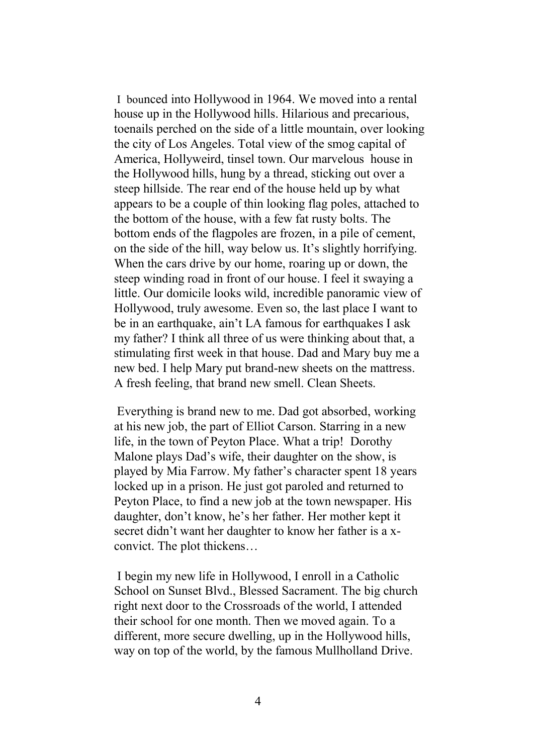I bounced into Hollywood in 1964. We moved into a rental house up in the Hollywood hills. Hilarious and precarious, toenails perched on the side of a little mountain, over looking the city of Los Angeles. Total view of the smog capital of America, Hollyweird, tinsel town. Our marvelous house in the Hollywood hills, hung by a thread, sticking out over a steep hillside. The rear end of the house held up by what appears to be a couple of thin looking flag poles, attached to the bottom of the house, with a few fat rusty bolts. The bottom ends of the flagpoles are frozen, in a pile of cement, on the side of the hill, way below us. It's slightly horrifying. When the cars drive by our home, roaring up or down, the steep winding road in front of our house. I feel it swaying a little. Our domicile looks wild, incredible panoramic view of Hollywood, truly awesome. Even so, the last place I want to be in an earthquake, ain't LA famous for earthquakes I ask my father? I think all three of us were thinking about that, a stimulating first week in that house. Dad and Mary buy me a new bed. I help Mary put brand-new sheets on the mattress. A fresh feeling, that brand new smell. Clean Sheets.

Everything is brand new to me. Dad got absorbed, working at his new job, the part of Elliot Carson. Starring in a new life, in the town of Peyton Place. What a trip! Dorothy Malone plays Dad's wife, their daughter on the show, is played by Mia Farrow. My father's character spent 18 years locked up in a prison. He just got paroled and returned to Peyton Place, to find a new job at the town newspaper. His daughter, don't know, he's her father. Her mother kept it secret didn't want her daughter to know her father is a xconvict. The plot thickens…

 I begin my new life in Hollywood, I enroll in a Catholic School on Sunset Blvd., Blessed Sacrament. The big church right next door to the Crossroads of the world, I attended their school for one month. Then we moved again. To a different, more secure dwelling, up in the Hollywood hills, way on top of the world, by the famous Mullholland Drive.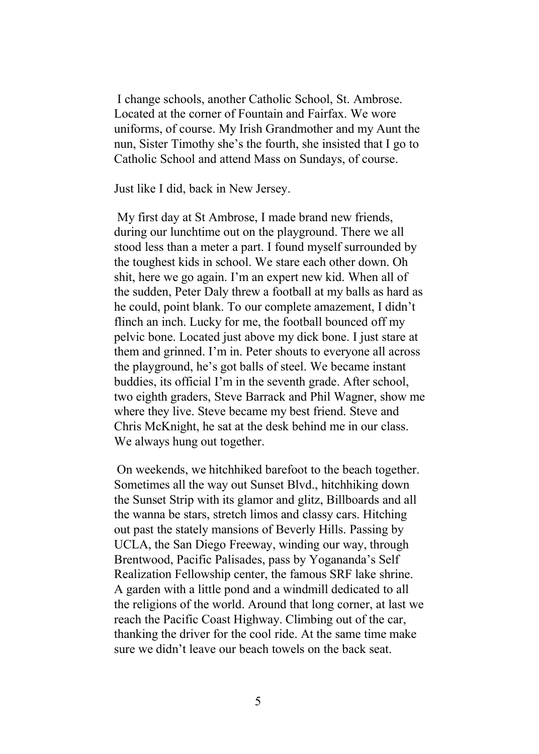I change schools, another Catholic School, St. Ambrose. Located at the corner of Fountain and Fairfax. We wore uniforms, of course. My Irish Grandmother and my Aunt the nun, Sister Timothy she's the fourth, she insisted that I go to Catholic School and attend Mass on Sundays, of course.

Just like I did, back in New Jersey.

 My first day at St Ambrose, I made brand new friends, during our lunchtime out on the playground. There we all stood less than a meter a part. I found myself surrounded by the toughest kids in school. We stare each other down. Oh shit, here we go again. I'm an expert new kid. When all of the sudden, Peter Daly threw a football at my balls as hard as he could, point blank. To our complete amazement, I didn't flinch an inch. Lucky for me, the football bounced off my pelvic bone. Located just above my dick bone. I just stare at them and grinned. I'm in. Peter shouts to everyone all across the playground, he's got balls of steel. We became instant buddies, its official I'm in the seventh grade. After school, two eighth graders, Steve Barrack and Phil Wagner, show me where they live. Steve became my best friend. Steve and Chris McKnight, he sat at the desk behind me in our class. We always hung out together.

On weekends, we hitchhiked barefoot to the beach together. Sometimes all the way out Sunset Blvd., hitchhiking down the Sunset Strip with its glamor and glitz, Billboards and all the wanna be stars, stretch limos and classy cars. Hitching out past the stately mansions of Beverly Hills. Passing by UCLA, the San Diego Freeway, winding our way, through Brentwood, Pacific Palisades, pass by Yogananda's Self Realization Fellowship center, the famous SRF lake shrine. A garden with a little pond and a windmill dedicated to all the religions of the world. Around that long corner, at last we reach the Pacific Coast Highway. Climbing out of the car, thanking the driver for the cool ride. At the same time make sure we didn't leave our beach towels on the back seat.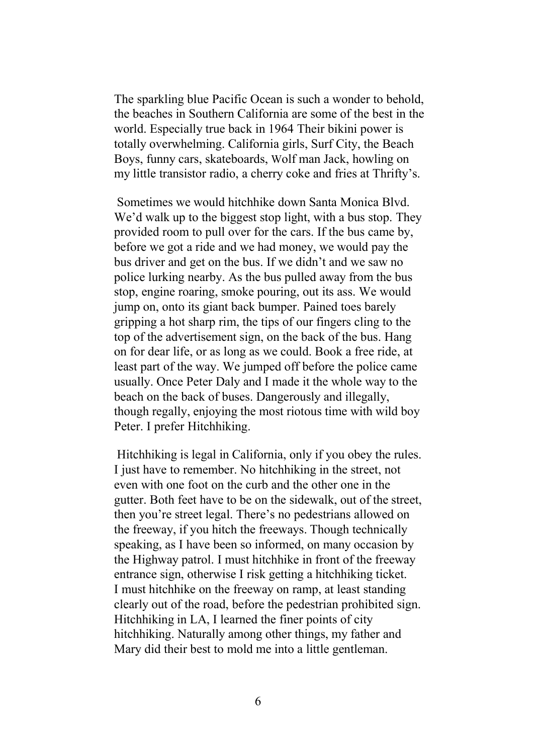The sparkling blue Pacific Ocean is such a wonder to behold, the beaches in Southern California are some of the best in the world. Especially true back in 1964 Their bikini power is totally overwhelming. California girls, Surf City, the Beach Boys, funny cars, skateboards, Wolf man Jack, howling on my little transistor radio, a cherry coke and fries at Thrifty's.

Sometimes we would hitchhike down Santa Monica Blvd. We'd walk up to the biggest stop light, with a bus stop. They provided room to pull over for the cars. If the bus came by, before we got a ride and we had money, we would pay the bus driver and get on the bus. If we didn't and we saw no police lurking nearby. As the bus pulled away from the bus stop, engine roaring, smoke pouring, out its ass. We would jump on, onto its giant back bumper. Pained toes barely gripping a hot sharp rim, the tips of our fingers cling to the top of the advertisement sign, on the back of the bus. Hang on for dear life, or as long as we could. Book a free ride, at least part of the way. We jumped off before the police came usually. Once Peter Daly and I made it the whole way to the beach on the back of buses. Dangerously and illegally, though regally, enjoying the most riotous time with wild boy Peter. I prefer Hitchhiking.

Hitchhiking is legal in California, only if you obey the rules. I just have to remember. No hitchhiking in the street, not even with one foot on the curb and the other one in the gutter. Both feet have to be on the sidewalk, out of the street, then you're street legal. There's no pedestrians allowed on the freeway, if you hitch the freeways. Though technically speaking, as I have been so informed, on many occasion by the Highway patrol. I must hitchhike in front of the freeway entrance sign, otherwise I risk getting a hitchhiking ticket. I must hitchhike on the freeway on ramp, at least standing clearly out of the road, before the pedestrian prohibited sign. Hitchhiking in LA, I learned the finer points of city hitchhiking. Naturally among other things, my father and Mary did their best to mold me into a little gentleman.